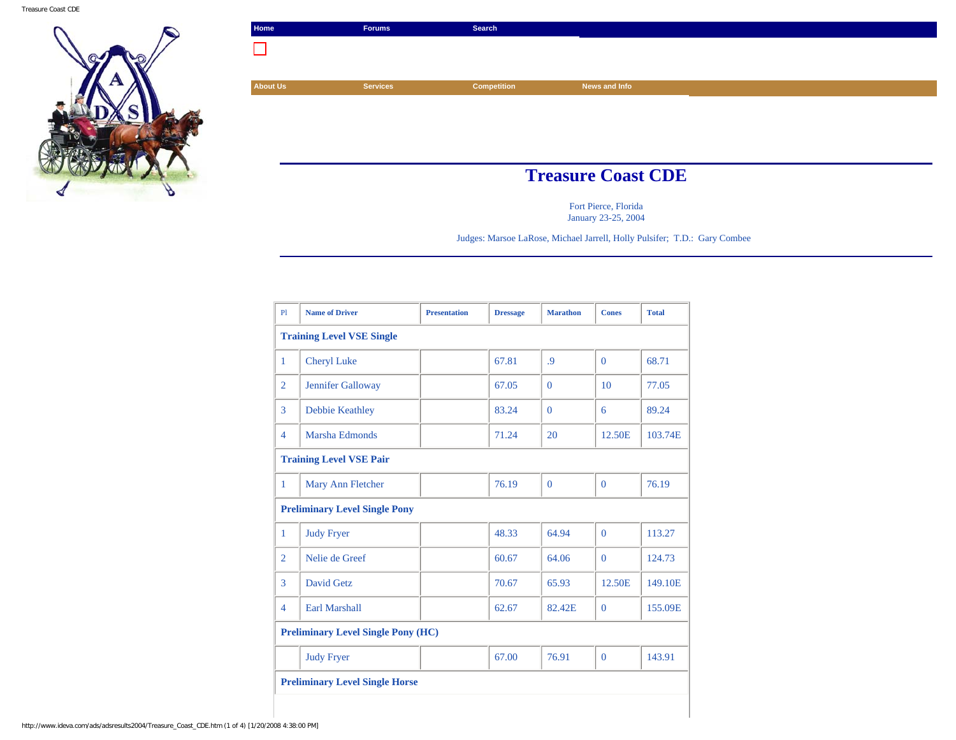

| Home                      | <b>Forums</b>   | Search             |               |  |
|---------------------------|-----------------|--------------------|---------------|--|
|                           |                 |                    |               |  |
|                           |                 |                    |               |  |
| <b>About Us</b>           | <b>Services</b> | <b>Competition</b> | News and Info |  |
|                           |                 |                    |               |  |
|                           |                 |                    |               |  |
|                           |                 |                    |               |  |
|                           |                 |                    |               |  |
| <b>Treasure Coast CDE</b> |                 |                    |               |  |

Fort Pierce, Florida January 23-25, 2004

Judges: Marsoe LaRose, Michael Jarrell, Holly Pulsifer; T.D.: Gary Combee

| PI                                        | <b>Name of Driver</b>          | <b>Presentation</b> | <b>Dressage</b> | <b>Marathon</b> | <b>Cones</b> | <b>Total</b> |  |
|-------------------------------------------|--------------------------------|---------------------|-----------------|-----------------|--------------|--------------|--|
| <b>Training Level VSE Single</b>          |                                |                     |                 |                 |              |              |  |
| 1                                         | <b>Cheryl Luke</b>             |                     | 67.81           | $\overline{9}$  | $\Omega$     | 68.71        |  |
| $\overline{2}$                            | Jennifer Galloway              |                     | 67.05           | $\Omega$        | 10           | 77.05        |  |
| 3                                         | Debbie Keathley                |                     | 83.24           | $\Omega$        | 6            | 89.24        |  |
| $\overline{4}$                            | Marsha Edmonds                 |                     | 71.24           | 20              | 12.50E       | 103.74E      |  |
|                                           | <b>Training Level VSE Pair</b> |                     |                 |                 |              |              |  |
| 1                                         | Mary Ann Fletcher              |                     | 76.19           | $\Omega$        | $\Omega$     | 76.19        |  |
| <b>Preliminary Level Single Pony</b>      |                                |                     |                 |                 |              |              |  |
| 1                                         | <b>Judy Fryer</b>              |                     | 48.33           | 64.94           | $\theta$     | 113.27       |  |
| $\overline{2}$                            | Nelie de Greef                 |                     | 60.67           | 64.06           | $\Omega$     | 124.73       |  |
| 3                                         | David Getz                     |                     | 70.67           | 65.93           | 12.50E       | 149.10E      |  |
| $\overline{4}$                            | <b>Earl Marshall</b>           |                     | 62.67           | 82.42E          | $\Omega$     | 155.09E      |  |
| <b>Preliminary Level Single Pony (HC)</b> |                                |                     |                 |                 |              |              |  |
|                                           | <b>Judy Fryer</b>              |                     | 67.00           | 76.91           | $\theta$     | 143.91       |  |
| <b>Preliminary Level Single Horse</b>     |                                |                     |                 |                 |              |              |  |
|                                           |                                |                     |                 |                 |              |              |  |

http://www.ideva.com/ads/adsresults2004/Treasure\_Coast\_CDE.htm (1 of 4) [1/20/2008 4:38:00 PM]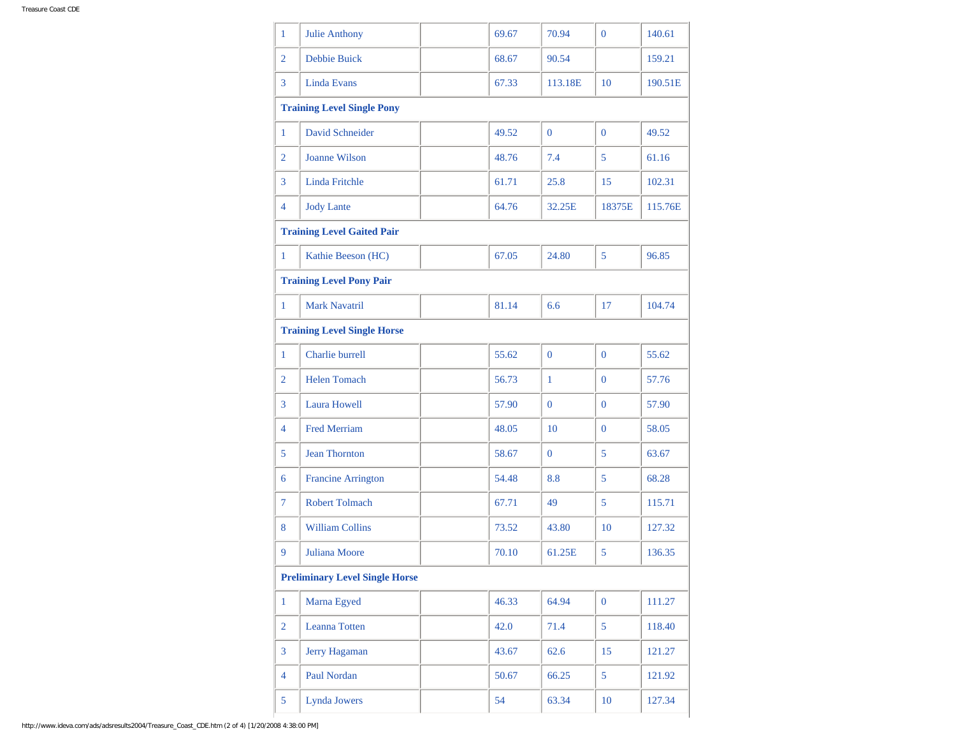| 1                                     | Julie Anthony                     |  | 69.67 | 70.94          | $\Omega$       | 140.61  |  |
|---------------------------------------|-----------------------------------|--|-------|----------------|----------------|---------|--|
| $\overline{2}$                        | <b>Debbie Buick</b>               |  | 68.67 | 90.54          |                | 159.21  |  |
| 3                                     | <b>Linda Evans</b>                |  | 67.33 | 113.18E        | 10             | 190.51E |  |
|                                       | <b>Training Level Single Pony</b> |  |       |                |                |         |  |
| 1                                     | <b>David Schneider</b>            |  | 49.52 | $\overline{0}$ | $\mathbf{0}$   | 49.52   |  |
| $\overline{2}$                        | <b>Joanne Wilson</b>              |  | 48.76 | 7.4            | 5              | 61.16   |  |
| 3                                     | <b>Linda Fritchle</b>             |  | 61.71 | 25.8           | 15             | 102.31  |  |
| $\overline{4}$                        | <b>Jody Lante</b>                 |  | 64.76 | 32.25E         | 18375E         | 115.76E |  |
|                                       | <b>Training Level Gaited Pair</b> |  |       |                |                |         |  |
| $\mathbf{1}$                          | Kathie Beeson (HC)                |  | 67.05 | 24.80          | 5              | 96.85   |  |
| <b>Training Level Pony Pair</b>       |                                   |  |       |                |                |         |  |
| $\mathbf{1}$                          | <b>Mark Navatril</b>              |  | 81.14 | 6.6            | 17             | 104.74  |  |
| <b>Training Level Single Horse</b>    |                                   |  |       |                |                |         |  |
| $\mathbf{1}$                          | Charlie burrell                   |  | 55.62 | $\mathbf{0}$   | $\mathbf{0}$   | 55.62   |  |
| $\overline{2}$                        | <b>Helen Tomach</b>               |  | 56.73 | $\mathbf{1}$   | $\mathbf{0}$   | 57.76   |  |
| $\overline{3}$                        | <b>Laura Howell</b>               |  | 57.90 | $\overline{0}$ | $\mathbf{0}$   | 57.90   |  |
| $\overline{4}$                        | <b>Fred Merriam</b>               |  | 48.05 | 10             | $\mathbf{0}$   | 58.05   |  |
| 5                                     | <b>Jean Thornton</b>              |  | 58.67 | $\overline{0}$ | 5              | 63.67   |  |
| 6                                     | <b>Francine Arrington</b>         |  | 54.48 | 8.8            | 5              | 68.28   |  |
| 7                                     | <b>Robert Tolmach</b>             |  | 67.71 | 49             | 5              | 115.71  |  |
| 8                                     | <b>William Collins</b>            |  | 73.52 | 43.80          | 10             | 127.32  |  |
| 9                                     | Juliana Moore                     |  | 70.10 | 61.25E         | 5              | 136.35  |  |
| <b>Preliminary Level Single Horse</b> |                                   |  |       |                |                |         |  |
| $\mathbf{1}$                          | Marna Egyed                       |  | 46.33 | 64.94          | $\overline{0}$ | 111.27  |  |
| $\overline{2}$                        | Leanna Totten                     |  | 42.0  | 71.4           | 5              | 118.40  |  |
| $\overline{3}$                        | Jerry Hagaman                     |  | 43.67 | 62.6           | 15             | 121.27  |  |
| $\overline{4}$                        | Paul Nordan                       |  | 50.67 | 66.25          | 5              | 121.92  |  |
| 5                                     | Lynda Jowers                      |  | 54    | 63.34          | 10             | 127.34  |  |
|                                       |                                   |  |       |                |                |         |  |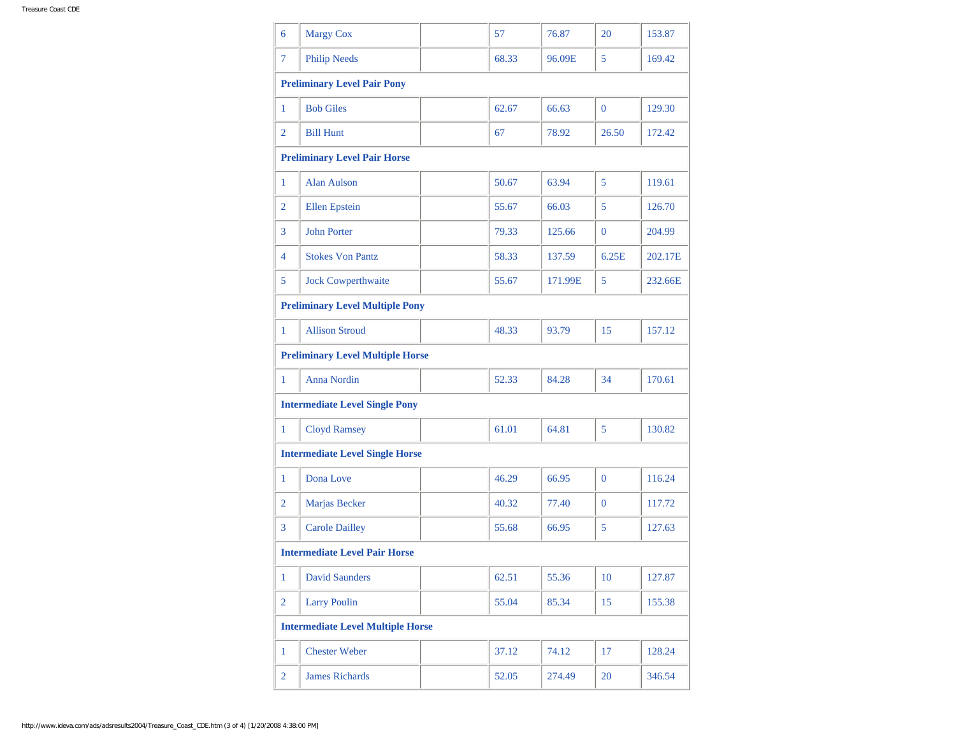| 6                                        | <b>Margy Cox</b>                    |  | 57    | 76.87   | 20             | 153.87  |  |
|------------------------------------------|-------------------------------------|--|-------|---------|----------------|---------|--|
| $\tau$                                   | <b>Philip Needs</b>                 |  | 68.33 | 96.09E  | 5              | 169.42  |  |
| <b>Preliminary Level Pair Pony</b>       |                                     |  |       |         |                |         |  |
| 1                                        | <b>Bob Giles</b>                    |  | 62.67 | 66.63   | $\mathbf{0}$   | 129.30  |  |
| $\overline{2}$                           | <b>Bill Hunt</b>                    |  | 67    | 78.92   | 26.50          | 172.42  |  |
|                                          | <b>Preliminary Level Pair Horse</b> |  |       |         |                |         |  |
| $\mathbf{1}$                             | Alan Aulson                         |  | 50.67 | 63.94   | 5              | 119.61  |  |
| $\overline{2}$                           | <b>Ellen</b> Epstein                |  | 55.67 | 66.03   | 5              | 126.70  |  |
| $\overline{3}$                           | <b>John Porter</b>                  |  | 79.33 | 125.66  | $\overline{0}$ | 204.99  |  |
| 4                                        | <b>Stokes Von Pantz</b>             |  | 58.33 | 137.59  | 6.25E          | 202.17E |  |
| 5                                        | <b>Jock Cowperthwaite</b>           |  | 55.67 | 171.99E | 5              | 232.66E |  |
| <b>Preliminary Level Multiple Pony</b>   |                                     |  |       |         |                |         |  |
| $\mathbf{1}$                             | <b>Allison Stroud</b>               |  | 48.33 | 93.79   | 15             | 157.12  |  |
| <b>Preliminary Level Multiple Horse</b>  |                                     |  |       |         |                |         |  |
| $\mathbf{1}$                             | <b>Anna Nordin</b>                  |  | 52.33 | 84.28   | 34             | 170.61  |  |
| <b>Intermediate Level Single Pony</b>    |                                     |  |       |         |                |         |  |
| 1                                        | <b>Cloyd Ramsey</b>                 |  | 61.01 | 64.81   | 5              | 130.82  |  |
| <b>Intermediate Level Single Horse</b>   |                                     |  |       |         |                |         |  |
| $\mathbf{1}$                             | Dona Love                           |  | 46.29 | 66.95   | $\mathbf{0}$   | 116.24  |  |
| $\overline{2}$                           | Marjas Becker                       |  | 40.32 | 77.40   | $\mathbf{0}$   | 117.72  |  |
| 3                                        | <b>Carole Dailley</b>               |  | 55.68 | 66.95   | 5              | 127.63  |  |
| <b>Intermediate Level Pair Horse</b>     |                                     |  |       |         |                |         |  |
| 1                                        | <b>David Saunders</b>               |  | 62.51 | 55.36   | 10             | 127.87  |  |
| $\overline{2}$                           | <b>Larry Poulin</b>                 |  | 55.04 | 85.34   | 15             | 155.38  |  |
| <b>Intermediate Level Multiple Horse</b> |                                     |  |       |         |                |         |  |
| $\mathbf{1}$                             | <b>Chester Weber</b>                |  | 37.12 | 74.12   | 17             | 128.24  |  |
| $\overline{2}$                           | <b>James Richards</b>               |  | 52.05 | 274.49  | 20             | 346.54  |  |
|                                          |                                     |  |       |         |                |         |  |